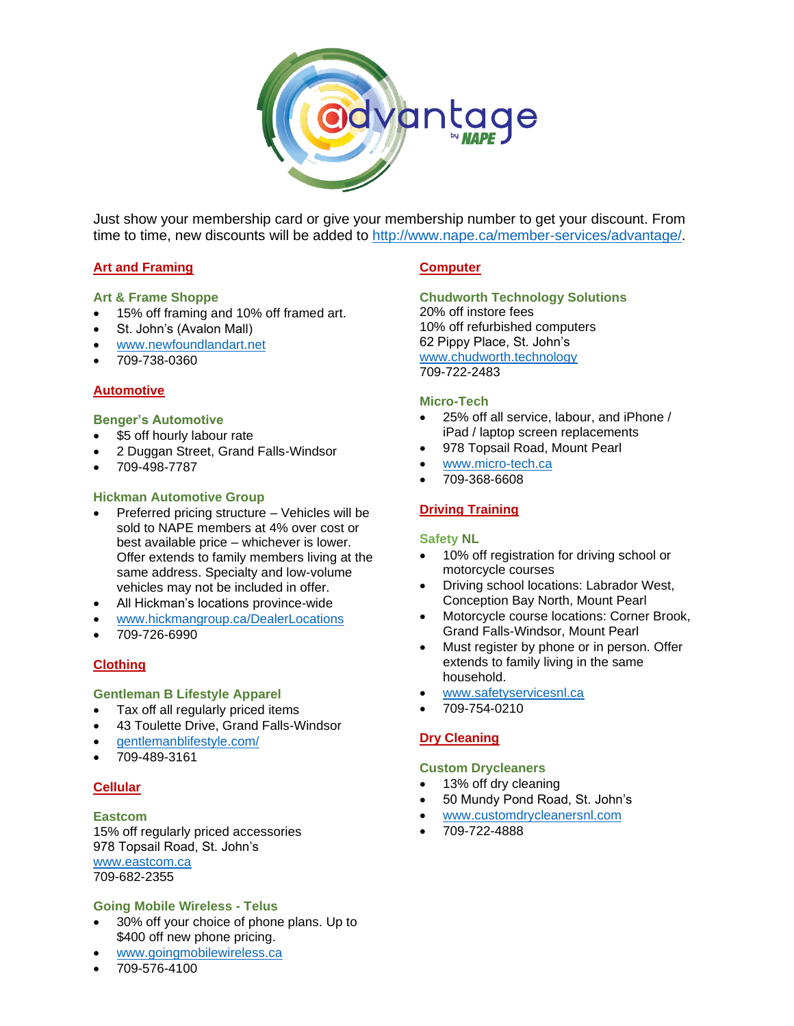

Just show your membership card or give your membership number to get your discount. From time to time, new discounts will be added to [http://www.nape.ca/member-services/advantage/.](http://www.nape.ca/member-services/advantage/)

# **Art and Framing**

#### **Art & Frame Shoppe**

- 15% off framing and 10% off framed art.
- St. John's (Avalon Mall)
- [www.newfoundlandart.net](http://www.newfoundlandart.net/)
- 709-738-0360

#### **Automotive**

#### **Benger's Automotive**

- \$5 off hourly labour rate
- 2 Duggan Street, Grand Falls-Windsor
- 709-498-7787

#### **Hickman Automotive Group**

- Preferred pricing structure Vehicles will be sold to NAPE members at 4% over cost or best available price – whichever is lower. Offer extends to family members living at the same address. Specialty and low-volume vehicles may not be included in offer.
- All Hickman's locations province-wide
- [www.hickmangroup.ca/DealerLocations](http://www.hickmangroup.ca/DealerLocations)
- 709-726-6990

#### **Clothing**

#### **Gentleman B Lifestyle Apparel**

- Tax off all regularly priced items
- 43 Toulette Drive, Grand Falls-Windsor
- [gentlemanblifestyle.com/](https://gentlemanblifestyle.com/)
- 709-489-3161

#### **Cellular**

#### **Eastcom**

15% off regularly priced accessories 978 Topsail Road, St. John's [www.eastcom.ca](http://www.eastcom.ca/) 709-682-2355

#### **Going Mobile Wireless - Telus**

- 30% off your choice of phone plans. Up to \$400 off new phone pricing.
- [www.goingmobilewireless.ca](http://www.goingmobilewireless.ca/)
- 709-576-4100

#### **Computer**

**Chudworth Technology Solutions** 20% off instore fees 10% off refurbished computers 62 Pippy Place, St. John's [www.chudworth.technology](http://www.chudworth.technology/) 709-722-2483

#### **Micro-Tech**

- 25% off all service, labour, and iPhone / iPad / laptop screen replacements
- 978 Topsail Road, Mount Pearl
- [www.micro-tech.ca](http://www.micro-tech.ca/)
- 709-368-6608

#### **Driving Training**

#### **Safety NL**

- 10% off registration for driving school or motorcycle courses
- Driving school locations: Labrador West, Conception Bay North, Mount Pearl
- Motorcycle course locations: Corner Brook, Grand Falls-Windsor, Mount Pearl
- Must register by phone or in person. Offer extends to family living in the same household.
- [www.safetyservicesnl.ca](http://www.safetyservicesnl.ca/)
- 709-754-0210

#### **Dry Cleaning**

#### **Custom Drycleaners**

- 13% off dry cleaning
- 50 Mundy Pond Road, St. John's
- [www.customdrycleanersnl.com](http://www.customdrycleanersnl.com/)
- 709-722-4888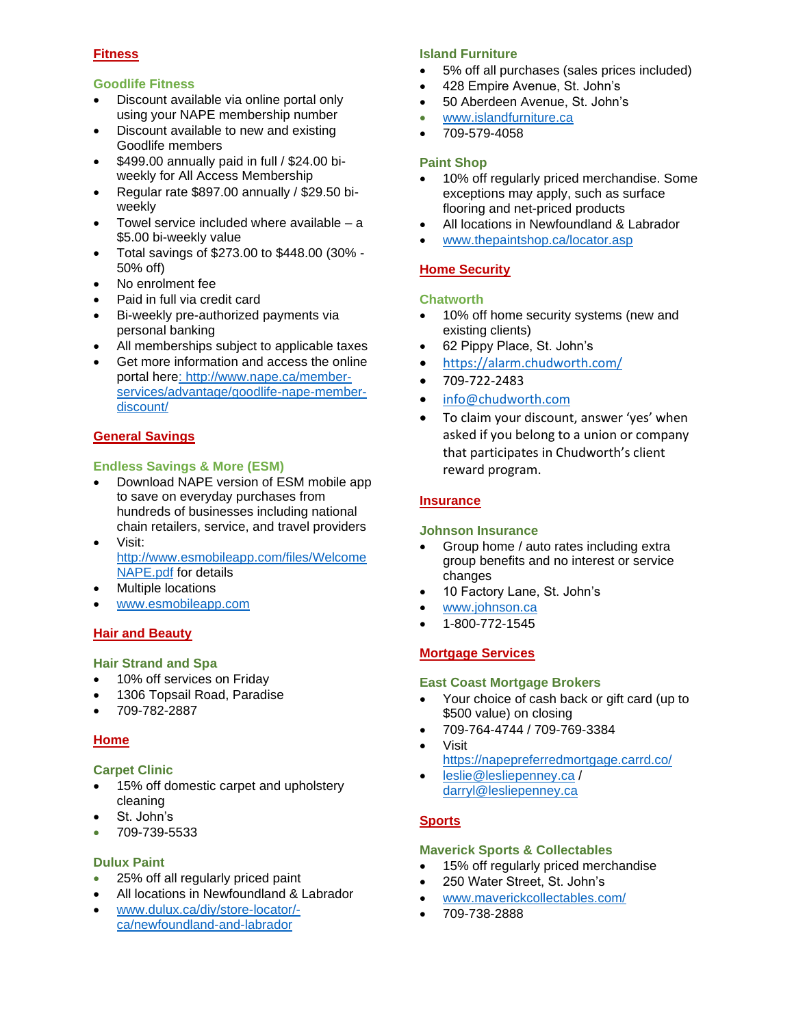# **Fitness**

# **Goodlife Fitness**

- Discount available via online portal only using your NAPE membership number
- Discount available to new and existing Goodlife members
- \$499.00 annually paid in full / \$24.00 biweekly for All Access Membership
- Regular rate \$897.00 annually / \$29.50 biweekly
- Towel service included where available a \$5.00 bi-weekly value
- Total savings of \$273.00 to \$448.00 (30% 50% off)
- No enrolment fee
- Paid in full via credit card
- Bi-weekly pre-authorized payments via personal banking
- All memberships subject to applicable taxes
- Get more information and access the online portal her[e: http://www.nape.ca/member](file:///C:/Users/judy_ifir3d8/Downloads/%20http/www.nape.ca/member-services/advantage/goodlife-nape-member-discount/)[services/advantage/goodlife-nape-member](file:///C:/Users/judy_ifir3d8/Downloads/%20http/www.nape.ca/member-services/advantage/goodlife-nape-member-discount/)[discount/](file:///C:/Users/judy_ifir3d8/Downloads/%20http/www.nape.ca/member-services/advantage/goodlife-nape-member-discount/)

# **General Savings**

# **Endless Savings & More (ESM)**

- Download NAPE version of ESM mobile app to save on everyday purchases from hundreds of businesses including national chain retailers, service, and travel providers
- Visit: [http://www.esmobileapp.com/files/Welcome](http://www.esmobileapp.com/files/WelcomeNAPE.pdf) [NAPE.pdf](http://www.esmobileapp.com/files/WelcomeNAPE.pdf) for details
- Multiple locations
- [www.esmobileapp.com](http://www.esmobileapp.com/)

# **Hair and Beauty**

# **Hair Strand and Spa**

- 10% off services on Friday
- 1306 Topsail Road, Paradise
- 709-782-2887

# **Home**

# **Carpet Clinic**

- 15% off domestic carpet and upholstery cleaning
- St. John's
- 709-739-5533

# **Dulux Paint**

- 25% off all regularly priced paint
- All locations in Newfoundland & Labrador
- [www.dulux.ca/diy/store-locator/](http://www.dulux.ca/diy/store-locator/-ca/newfoundland-and-labrador) [ca/newfoundland-and-labrador](http://www.dulux.ca/diy/store-locator/-ca/newfoundland-and-labrador)

# **Island Furniture**

- 5% off all purchases (sales prices included)
- 428 Empire Avenue, St. John's
- 50 Aberdeen Avenue, St. John's
- [www.islandfurniture.ca](http://www.islandfurniture.ca/)
- 709-579-4058

# **Paint Shop**

- 10% off regularly priced merchandise. Some exceptions may apply, such as surface flooring and net-priced products
- All locations in Newfoundland & Labrador
- [www.thepaintshop.ca/locator.asp](http://www.thepaintshop.ca/locator.asp)

# **Home Security**

#### **Chatworth**

- 10% off home security systems (new and existing clients)
- 62 Pippy Place, St. John's
- <https://alarm.chudworth.com/>
- 709-722-2483
- [info@chudworth.com](mailto:info@chudworth.com)
- To claim your discount, answer 'yes' when asked if you belong to a union or company that participates in Chudworth's client reward program.

#### **Insurance**

# **Johnson Insurance**

- Group home / auto rates including extra group benefits and no interest or service changes
- 10 Factory Lane, St. John's
- [www.johnson.ca](http://www.johnson.ca/)
- 1-800-772-1545

# **Mortgage Services**

#### **East Coast Mortgage Brokers**

- Your choice of cash back or gift card (up to \$500 value) on closing
- 709-764-4744 / 709-769-3384
	- Visit <https://napepreferredmortgage.carrd.co/>
- [leslie@lesliepenney.ca](mailto:leslie@lesliepenney.ca) / [darryl@lesliepenney.ca](mailto:darryl@lesliepenney.ca)

# **Sports**

# **Maverick Sports & Collectables**

- 15% off regularly priced merchandise
- 250 Water Street, St. John's
- [www.maverickcollectables.com/](http://www.maverickcollectables.com/)
- 709-738-2888